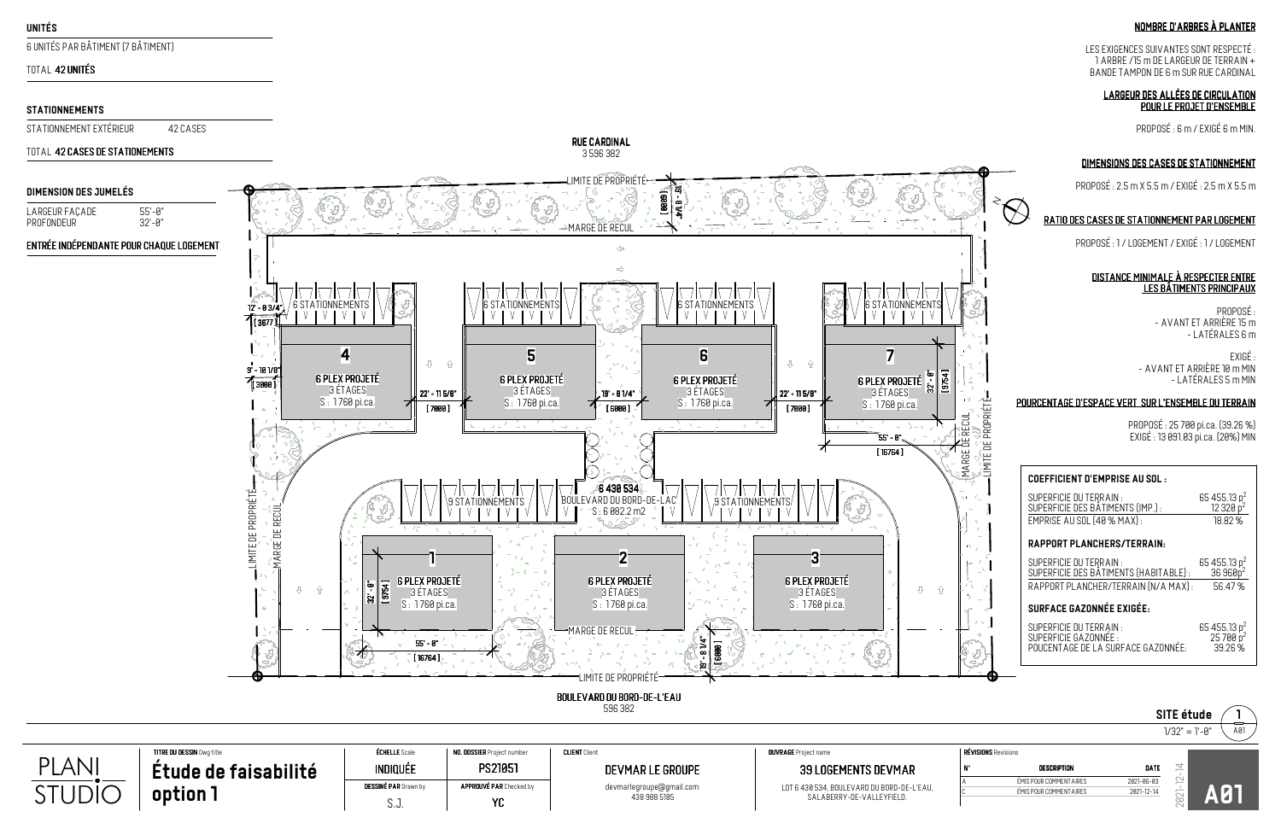#### **COEFFICIENT D'EMPRISE AU SOL :**

 $\prec$ 

 $\bigotimes$ 

SUPERFICIE DU TERRAIN : SUPERFICIE DES BÂTIMENTS (IMP.) :EMPRISE AU SOL (40 % MAX) :65 455.13 p $_{\circ}^2$ 12 320 p<sup>2</sup> 18.82 %

### **RAPPORT PLANCHERS/TERRAIN:**

SUPERFICIE DU TERRAIN : SUPERFICIE GAZONNÉE :65 455.13 p<sup>2</sup><br>25 700 p<sup>2</sup>  $-39.26\%$ 

SUPERFICIE DU TERRAIN : SUPERFICIE DES BÂTIMENTS (HABITABLE) : RAPPORT PLANCHER/TERRAIN (N/A MAX) :65 455.13 p<sup>2</sup>  $36960p^2$ 56.47 %

### **SURFACE GAZONNÉE EXIGÉE:**

MARGE DE RECUL

**JNARGE** I

**/**씀

 $\overline{\text{REUI}}_{\text{L}}$ 

 $\alpha \ll \beta$ 

LIMITE DE PROPRIÉTÉ

\resoles es « y v<br>Limité de propriété=



596 382

: PROPOSÉ<br>AVANTET ADDIÈDE I5 m AVANT ET ARRIÈRE 15 m -LATÉRALES 6 m

|                                       | <b>ÉCHELLE</b> Scale<br><b>TITRE DU DESSIN</b> Dwg title |                             | NO. DOSSIER Project number     | <b>CLIENT Clien</b>      | <b>OUVRAGE</b> Project name                                             | RÉVISIONS Revisions |                                                    |                          |  |
|---------------------------------------|----------------------------------------------------------|-----------------------------|--------------------------------|--------------------------|-------------------------------------------------------------------------|---------------------|----------------------------------------------------|--------------------------|--|
| DI<br>ANI                             | faisabilité<br>tude<br>de :                              | indiquée                    | <b>PS21051</b>                 | DEVMAR LE GROUPE         | <b>39 LOGEMENTS DEVMAR</b>                                              |                     | <b>DESCRIPTION</b>                                 | DATE                     |  |
| $\blacksquare$ $\blacksquare$<br>JDIC | option                                                   | <b>DESSINÉ PAR</b> Drawn by | <b>APPROUVÉ PAR</b> Checked by | devmarlegroupe@gmail.com | LOT 6 430 534, BOULEVARD DU BORD-DE-L'EAU,<br>SALABERRY-DE-VALLEYFIELD. |                     | ÉMIS POUR COMMENT AIRES<br>ÉMIS POUR COMMENT AIRES | 2021-06-03<br>2021-12-14 |  |
|                                       |                                                          | υ.υ.                        |                                | 438 988 5185             |                                                                         |                     |                                                    |                          |  |

# NOMBRED'ARBRESÀPLANTER

LES EXIGENCES SUIVANTES SONT RESPECTÉ : 1 ARBRE /15 m DE LARGEUR DE TERRAIN +BANDE TAMPON DE 6 m SUR RUE CARDINAL

#### LARGEUR DES ALLÉES DE CIRCULATION POUR LE PROJET D'ENSEMBLE

PROPOSÉ : 6 m / EXIGÉ 6 m MIN.

# DIMENSIONS DES CASES DE STATIONNEMENT

|                            |                         |            | SITE étude      |    |
|----------------------------|-------------------------|------------|-----------------|----|
|                            |                         |            | $1/32" = 1'-0"$ | A0 |
| <b>RÉVISIONS</b> Revisions |                         |            |                 |    |
| V.                         | <b>DESCRIPTION</b>      | DATE       | ᅿ               |    |
| Α                          | ÉMIS POUR COMMENT AIRES | 2021-06-03 | $\sim$          |    |
| $\sim$<br>◡                | ÉMIS POUR COMMENT AIRES | 2021-12-14 | $\sim$<br>Ø     |    |

PROPOSÉ : 2.5 m X 5.5 m / EXIGÉ : 2.5 m X 5.5 m

# RATIO DES CASES DE STATIONNEMENT PAR LOGEMENT

PROPOSÉ : 1 / LOGEMENT / EXIGÉ : 1 / LOGEMENT

#### DISTANCE MINIMALE À RESPECTER ENTRE LES BÂTIMENTS PRINCIPAUX

EXIGÉ : - AVANT ET ARRIÈRE 10 m MIN- LATÉRALES 5 m MIN

### POURCENTAGE D'ESPACE VERT SUR L'ENSEMBLE DU TERRAIN

PROPOSÉ : 25 700 pi.ca. (39.26 %) EXIGÉ : 13 091.03 pi.ca. (20%) MIN

6 UNITÉS PAR BÂTIMENT (7 BÂTIMENT)

# TOTAL 42 UNITÉS

### **UNITÉS**

### TOTAL 42 CASES DE STATIONEMENTS

### **STATIONNEMENTS**

STATIONNEMENT EXTÉRIEUR 42 CASES

LARGEUR FAÇADE 55'-0" PROFONDEUR32'-0"

#### ENTRÉE INDÉPENDANTE POUR CHAQUE LOGEMENT

### **DIMENSION DES JUMELÉS**